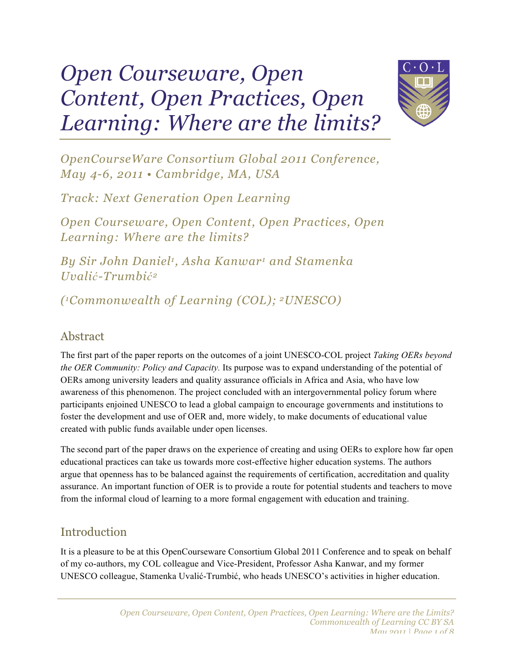# *Open Courseware, Open Content, Open Practices, Open Learning: Where are the limits?*



*OpenCourseWare Consortium Global 2011 Conference, May 4-6, 2011 • Cambridge, MA, USA*

*Track: Next Generation Open Learning*

*Open Courseware, Open Content, Open Practices, Open Learning: Where are the limits?*

*By Sir John Daniel1, Asha Kanwar1 and Stamenka Uvalić-Trumbić<sup>2</sup>*

*(1Commonwealth of Learning (COL); 2UNESCO)*

### Abstract

The first part of the paper reports on the outcomes of a joint UNESCO-COL project *Taking OERs beyond the OER Community: Policy and Capacity.* Its purpose was to expand understanding of the potential of OERs among university leaders and quality assurance officials in Africa and Asia, who have low awareness of this phenomenon. The project concluded with an intergovernmental policy forum where participants enjoined UNESCO to lead a global campaign to encourage governments and institutions to foster the development and use of OER and, more widely, to make documents of educational value created with public funds available under open licenses.

The second part of the paper draws on the experience of creating and using OERs to explore how far open educational practices can take us towards more cost-effective higher education systems. The authors argue that openness has to be balanced against the requirements of certification, accreditation and quality assurance. An important function of OER is to provide a route for potential students and teachers to move from the informal cloud of learning to a more formal engagement with education and training.

### Introduction

It is a pleasure to be at this OpenCourseware Consortium Global 2011 Conference and to speak on behalf of my co-authors, my COL colleague and Vice-President, Professor Asha Kanwar, and my former UNESCO colleague, Stamenka Uvalić-Trumbić, who heads UNESCO's activities in higher education.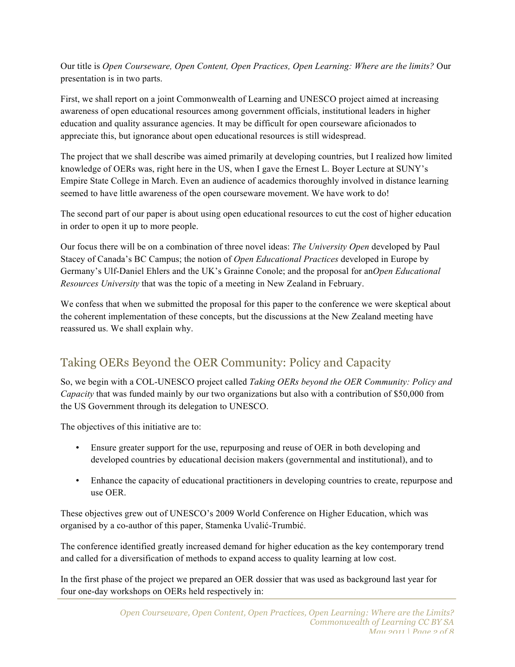Our title is *Open Courseware, Open Content, Open Practices, Open Learning: Where are the limits?* Our presentation is in two parts.

First, we shall report on a joint Commonwealth of Learning and UNESCO project aimed at increasing awareness of open educational resources among government officials, institutional leaders in higher education and quality assurance agencies. It may be difficult for open courseware aficionados to appreciate this, but ignorance about open educational resources is still widespread.

The project that we shall describe was aimed primarily at developing countries, but I realized how limited knowledge of OERs was, right here in the US, when I gave the Ernest L. Boyer Lecture at SUNY's Empire State College in March. Even an audience of academics thoroughly involved in distance learning seemed to have little awareness of the open courseware movement. We have work to do!

The second part of our paper is about using open educational resources to cut the cost of higher education in order to open it up to more people.

Our focus there will be on a combination of three novel ideas: *The University Open* developed by Paul Stacey of Canada's BC Campus; the notion of *Open Educational Practices* developed in Europe by Germany's Ulf-Daniel Ehlers and the UK's Grainne Conole; and the proposal for an*Open Educational Resources University* that was the topic of a meeting in New Zealand in February.

We confess that when we submitted the proposal for this paper to the conference we were skeptical about the coherent implementation of these concepts, but the discussions at the New Zealand meeting have reassured us. We shall explain why.

# Taking OERs Beyond the OER Community: Policy and Capacity

So, we begin with a COL-UNESCO project called *Taking OERs beyond the OER Community: Policy and Capacity* that was funded mainly by our two organizations but also with a contribution of \$50,000 from the US Government through its delegation to UNESCO.

The objectives of this initiative are to:

- Ensure greater support for the use, repurposing and reuse of OER in both developing and developed countries by educational decision makers (governmental and institutional), and to
- Enhance the capacity of educational practitioners in developing countries to create, repurpose and use OER.

These objectives grew out of UNESCO's 2009 World Conference on Higher Education, which was organised by a co-author of this paper, Stamenka Uvalić-Trumbić.

The conference identified greatly increased demand for higher education as the key contemporary trend and called for a diversification of methods to expand access to quality learning at low cost.

In the first phase of the project we prepared an OER dossier that was used as background last year for four one-day workshops on OERs held respectively in: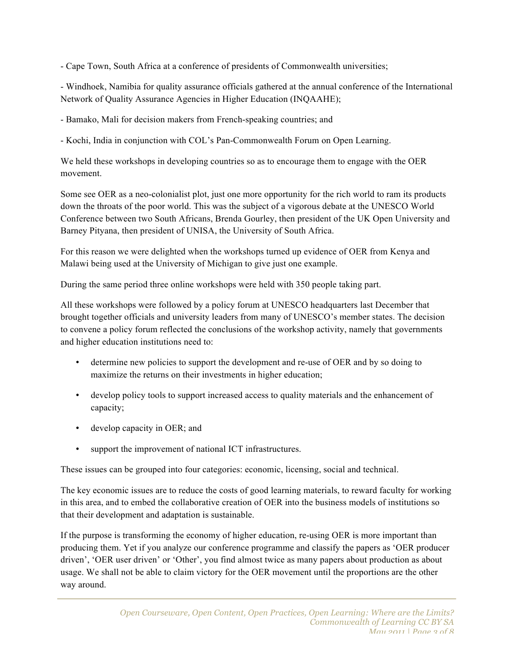- Cape Town, South Africa at a conference of presidents of Commonwealth universities;

- Windhoek, Namibia for quality assurance officials gathered at the annual conference of the International Network of Quality Assurance Agencies in Higher Education (INQAAHE);

- Bamako, Mali for decision makers from French-speaking countries; and

- Kochi, India in conjunction with COL's Pan-Commonwealth Forum on Open Learning.

We held these workshops in developing countries so as to encourage them to engage with the OER movement.

Some see OER as a neo-colonialist plot, just one more opportunity for the rich world to ram its products down the throats of the poor world. This was the subject of a vigorous debate at the UNESCO World Conference between two South Africans, Brenda Gourley, then president of the UK Open University and Barney Pityana, then president of UNISA, the University of South Africa.

For this reason we were delighted when the workshops turned up evidence of OER from Kenya and Malawi being used at the University of Michigan to give just one example.

During the same period three online workshops were held with 350 people taking part.

All these workshops were followed by a policy forum at UNESCO headquarters last December that brought together officials and university leaders from many of UNESCO's member states. The decision to convene a policy forum reflected the conclusions of the workshop activity, namely that governments and higher education institutions need to:

- determine new policies to support the development and re-use of OER and by so doing to maximize the returns on their investments in higher education;
- develop policy tools to support increased access to quality materials and the enhancement of capacity;
- develop capacity in OER; and
- support the improvement of national ICT infrastructures.

These issues can be grouped into four categories: economic, licensing, social and technical.

The key economic issues are to reduce the costs of good learning materials, to reward faculty for working in this area, and to embed the collaborative creation of OER into the business models of institutions so that their development and adaptation is sustainable.

If the purpose is transforming the economy of higher education, re-using OER is more important than producing them. Yet if you analyze our conference programme and classify the papers as 'OER producer driven', 'OER user driven' or 'Other', you find almost twice as many papers about production as about usage. We shall not be able to claim victory for the OER movement until the proportions are the other way around.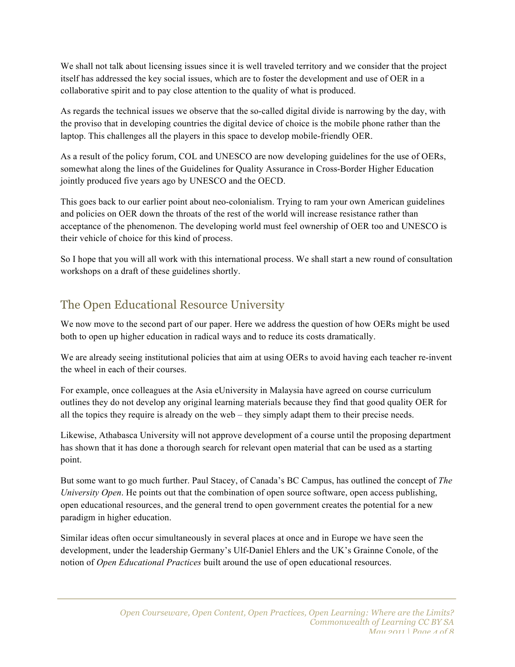We shall not talk about licensing issues since it is well traveled territory and we consider that the project itself has addressed the key social issues, which are to foster the development and use of OER in a collaborative spirit and to pay close attention to the quality of what is produced.

As regards the technical issues we observe that the so-called digital divide is narrowing by the day, with the proviso that in developing countries the digital device of choice is the mobile phone rather than the laptop. This challenges all the players in this space to develop mobile-friendly OER.

As a result of the policy forum, COL and UNESCO are now developing guidelines for the use of OERs, somewhat along the lines of the Guidelines for Quality Assurance in Cross-Border Higher Education jointly produced five years ago by UNESCO and the OECD.

This goes back to our earlier point about neo-colonialism. Trying to ram your own American guidelines and policies on OER down the throats of the rest of the world will increase resistance rather than acceptance of the phenomenon. The developing world must feel ownership of OER too and UNESCO is their vehicle of choice for this kind of process.

So I hope that you will all work with this international process. We shall start a new round of consultation workshops on a draft of these guidelines shortly.

# The Open Educational Resource University

We now move to the second part of our paper. Here we address the question of how OERs might be used both to open up higher education in radical ways and to reduce its costs dramatically.

We are already seeing institutional policies that aim at using OERs to avoid having each teacher re-invent the wheel in each of their courses.

For example, once colleagues at the Asia eUniversity in Malaysia have agreed on course curriculum outlines they do not develop any original learning materials because they find that good quality OER for all the topics they require is already on the web – they simply adapt them to their precise needs.

Likewise, Athabasca University will not approve development of a course until the proposing department has shown that it has done a thorough search for relevant open material that can be used as a starting point.

But some want to go much further. Paul Stacey, of Canada's BC Campus, has outlined the concept of *The University Open*. He points out that the combination of open source software, open access publishing, open educational resources, and the general trend to open government creates the potential for a new paradigm in higher education.

Similar ideas often occur simultaneously in several places at once and in Europe we have seen the development, under the leadership Germany's Ulf-Daniel Ehlers and the UK's Grainne Conole, of the notion of *Open Educational Practices* built around the use of open educational resources.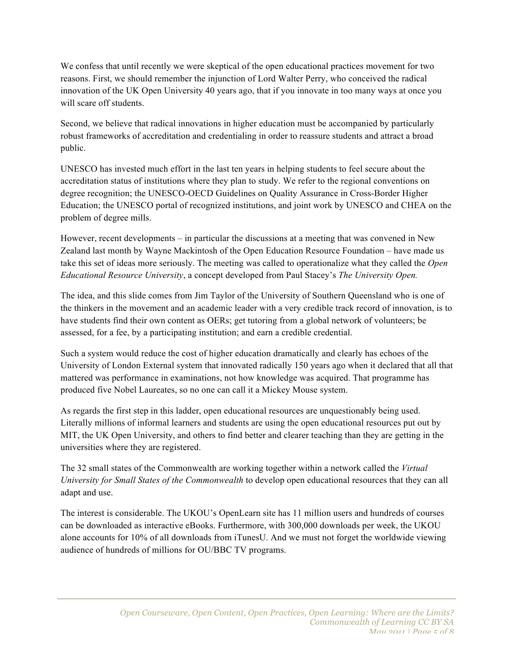We confess that until recently we were skeptical of the open educational practices movement for two reasons. First, we should remember the injunction of Lord Walter Perry, who conceived the radical innovation of the UK Open University 40 years ago, that if you innovate in too many ways at once you will scare off students.

Second, we believe that radical innovations in higher education must be accompanied by particularly robust frameworks of accreditation and credentialing in order to reassure students and attract a broad public.

UNESCO has invested much effort in the last ten years in helping students to feel secure about the accreditation status of institutions where they plan to study. We refer to the regional conventions on degree recognition; the UNESCO-OECD Guidelines on Quality Assurance in Cross-Border Higher Education; the UNESCO portal of recognized institutions, and joint work by UNESCO and CHEA on the problem of degree mills.

However, recent developments – in particular the discussions at a meeting that was convened in New Zealand last month by Wayne Mackintosh of the Open Education Resource Foundation – have made us take this set of ideas more seriously. The meeting was called to operationalize what they called the *Open Educational Resource University*, a concept developed from Paul Stacey's *The University Open.*

The idea, and this slide comes from Jim Taylor of the University of Southern Queensland who is one of the thinkers in the movement and an academic leader with a very credible track record of innovation, is to have students find their own content as OERs; get tutoring from a global network of volunteers; be assessed, for a fee, by a participating institution; and earn a credible credential.

Such a system would reduce the cost of higher education dramatically and clearly has echoes of the University of London External system that innovated radically 150 years ago when it declared that all that mattered was performance in examinations, not how knowledge was acquired. That programme has produced five Nobel Laureates, so no one can call it a Mickey Mouse system.

As regards the first step in this ladder, open educational resources are unquestionably being used. Literally millions of informal learners and students are using the open educational resources put out by MIT, the UK Open University, and others to find better and clearer teaching than they are getting in the universities where they are registered.

The 32 small states of the Commonwealth are working together within a network called the *Virtual University for Small States of the Commonwealth* to develop open educational resources that they can all adapt and use.

The interest is considerable. The UKOU's OpenLearn site has 11 million users and hundreds of courses can be downloaded as interactive eBooks. Furthermore, with 300,000 downloads per week, the UKOU alone accounts for 10% of all downloads from iTunesU. And we must not forget the worldwide viewing audience of hundreds of millions for OU/BBC TV programs.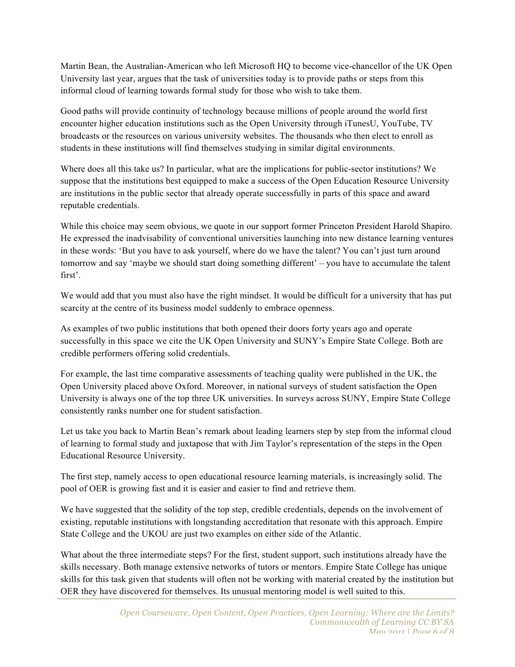Martin Bean, the Australian-American who left Microsoft HQ to become vice-chancellor of the UK Open University last year, argues that the task of universities today is to provide paths or steps from this informal cloud of learning towards formal study for those who wish to take them.

Good paths will provide continuity of technology because millions of people around the world first encounter higher education institutions such as the Open University through iTunesU, YouTube, TV broadcasts or the resources on various university websites. The thousands who then elect to enroll as students in these institutions will find themselves studying in similar digital environments.

Where does all this take us? In particular, what are the implications for public-sector institutions? We suppose that the institutions best equipped to make a success of the Open Education Resource University are institutions in the public sector that already operate successfully in parts of this space and award reputable credentials.

While this choice may seem obvious, we quote in our support former Princeton President Harold Shapiro. He expressed the inadvisability of conventional universities launching into new distance learning ventures in these words: 'But you have to ask yourself, where do we have the talent? You can't just turn around tomorrow and say 'maybe we should start doing something different' – you have to accumulate the talent first'.

We would add that you must also have the right mindset. It would be difficult for a university that has put scarcity at the centre of its business model suddenly to embrace openness.

As examples of two public institutions that both opened their doors forty years ago and operate successfully in this space we cite the UK Open University and SUNY's Empire State College. Both are credible performers offering solid credentials.

For example, the last time comparative assessments of teaching quality were published in the UK, the Open University placed above Oxford. Moreover, in national surveys of student satisfaction the Open University is always one of the top three UK universities. In surveys across SUNY, Empire State College consistently ranks number one for student satisfaction.

Let us take you back to Martin Bean's remark about leading learners step by step from the informal cloud of learning to formal study and juxtapose that with Jim Taylor's representation of the steps in the Open Educational Resource University.

The first step, namely access to open educational resource learning materials, is increasingly solid. The pool of OER is growing fast and it is easier and easier to find and retrieve them.

We have suggested that the solidity of the top step, credible credentials, depends on the involvement of existing, reputable institutions with longstanding accreditation that resonate with this approach. Empire State College and the UKOU are just two examples on either side of the Atlantic.

What about the three intermediate steps? For the first, student support, such institutions already have the skills necessary. Both manage extensive networks of tutors or mentors. Empire State College has unique skills for this task given that students will often not be working with material created by the institution but OER they have discovered for themselves. Its unusual mentoring model is well suited to this.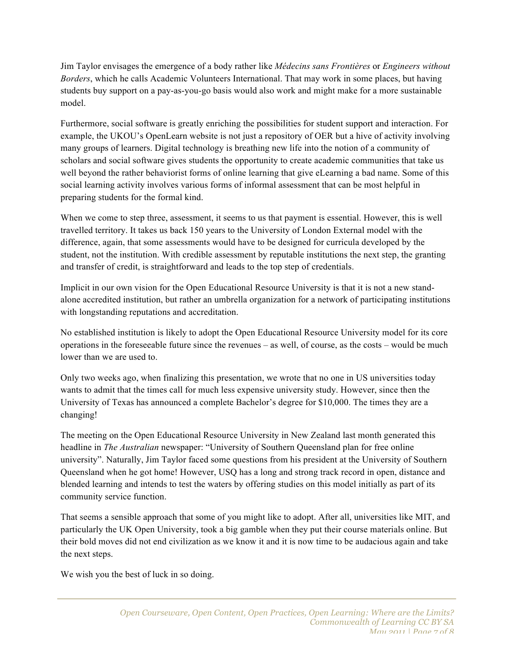Jim Taylor envisages the emergence of a body rather like *Médecins sans Frontières* or *Engineers without Borders*, which he calls Academic Volunteers International. That may work in some places, but having students buy support on a pay-as-you-go basis would also work and might make for a more sustainable model.

Furthermore, social software is greatly enriching the possibilities for student support and interaction. For example, the UKOU's OpenLearn website is not just a repository of OER but a hive of activity involving many groups of learners. Digital technology is breathing new life into the notion of a community of scholars and social software gives students the opportunity to create academic communities that take us well beyond the rather behaviorist forms of online learning that give eLearning a bad name. Some of this social learning activity involves various forms of informal assessment that can be most helpful in preparing students for the formal kind.

When we come to step three, assessment, it seems to us that payment is essential. However, this is well travelled territory. It takes us back 150 years to the University of London External model with the difference, again, that some assessments would have to be designed for curricula developed by the student, not the institution. With credible assessment by reputable institutions the next step, the granting and transfer of credit, is straightforward and leads to the top step of credentials.

Implicit in our own vision for the Open Educational Resource University is that it is not a new standalone accredited institution, but rather an umbrella organization for a network of participating institutions with longstanding reputations and accreditation.

No established institution is likely to adopt the Open Educational Resource University model for its core operations in the foreseeable future since the revenues – as well, of course, as the costs – would be much lower than we are used to.

Only two weeks ago, when finalizing this presentation, we wrote that no one in US universities today wants to admit that the times call for much less expensive university study. However, since then the University of Texas has announced a complete Bachelor's degree for \$10,000. The times they are a changing!

The meeting on the Open Educational Resource University in New Zealand last month generated this headline in *The Australian* newspaper: "University of Southern Queensland plan for free online university". Naturally, Jim Taylor faced some questions from his president at the University of Southern Queensland when he got home! However, USQ has a long and strong track record in open, distance and blended learning and intends to test the waters by offering studies on this model initially as part of its community service function.

That seems a sensible approach that some of you might like to adopt. After all, universities like MIT, and particularly the UK Open University, took a big gamble when they put their course materials online. But their bold moves did not end civilization as we know it and it is now time to be audacious again and take the next steps.

We wish you the best of luck in so doing.